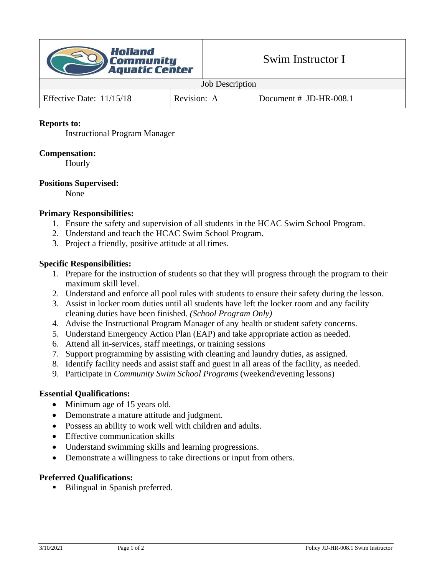

#### **Reports to:**

Instructional Program Manager

## **Compensation:**

Hourly

## **Positions Supervised:**

None

# **Primary Responsibilities:**

- 1. Ensure the safety and supervision of all students in the HCAC Swim School Program.
- 2. Understand and teach the HCAC Swim School Program.
- 3. Project a friendly, positive attitude at all times.

## **Specific Responsibilities:**

- 1. Prepare for the instruction of students so that they will progress through the program to their maximum skill level.
- 2. Understand and enforce all pool rules with students to ensure their safety during the lesson.
- 3. Assist in locker room duties until all students have left the locker room and any facility cleaning duties have been finished. *(School Program Only)*
- 4. Advise the Instructional Program Manager of any health or student safety concerns.
- 5. Understand Emergency Action Plan (EAP) and take appropriate action as needed.
- 6. Attend all in-services, staff meetings, or training sessions
- 7. Support programming by assisting with cleaning and laundry duties, as assigned.
- 8. Identify facility needs and assist staff and guest in all areas of the facility, as needed.
- 9. Participate in *Community Swim School Programs* (weekend/evening lessons)

#### **Essential Qualifications:**

- Minimum age of 15 years old.
- Demonstrate a mature attitude and judgment.
- Possess an ability to work well with children and adults.
- Effective communication skills
- Understand swimming skills and learning progressions.
- Demonstrate a willingness to take directions or input from others.

#### **Preferred Qualifications:**

■ Bilingual in Spanish preferred.